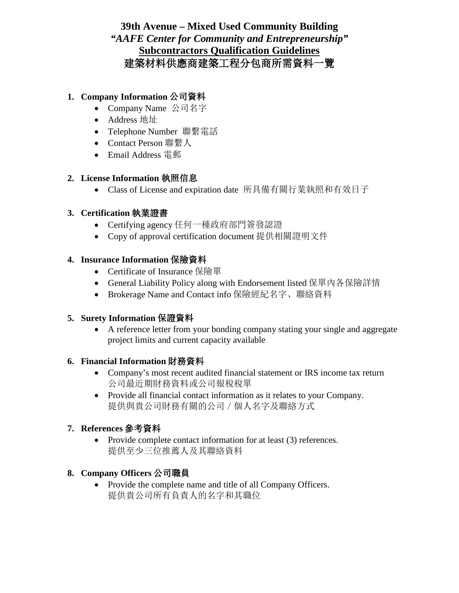## **39th Avenue – Mixed Used Community Building** *"AAFE Center for Community and Entrepreneurship"* **Subcontractors Qualification Guidelines** 建築材料供應商建築工程分包商所需資料一覽

## **1. Company Information** 公司資料

- Company Name 公司名字
- Address 地址
- Telephone Number 聯繫電話
- Contact Person 聯繫人
- Email Address 電郵

#### **2. License Information** 執照信息

• Class of License and expiration date 所具備有關行業執照和有效日子

## **3. Certification** 執業證書

- Certifying agency 任何一種政府部門簽發認證
- Copy of approval certification document 提供相關證明文件

#### **4. Insurance Information** 保險資料

- Certificate of Insurance 保險單
- General Liability Policy along with Endorsement listed 保單內各保險詳情
- Brokerage Name and Contact info 保險經紀名字、聯絡資料

## **5. Surety Information** 保證資料

• A reference letter from your bonding company stating your single and aggregate project limits and current capacity available

## **6. Financial Information** 財務資料

- Company's most recent audited financial statement or IRS income tax return 公司最近期財務資料或公司報稅稅單
- Provide all financial contact information as it relates to your Company. 提供與貴公司財務有關的公司/個人名字及聯絡方式

## **7. References** 參考資料

• Provide complete contact information for at least (3) references. 提供至少三位推薦人及其聯絡資料

## **8. Company Officers** 公司職員

• Provide the complete name and title of all Company Officers. 提供貴公司所有負責人的名字和其職位